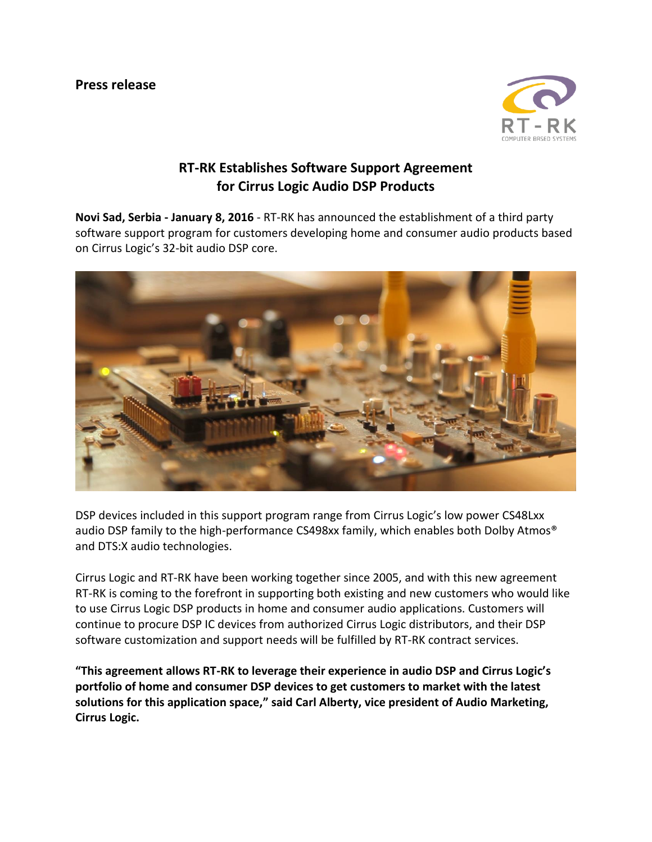

## **RT-RK Establishes Software Support Agreement for Cirrus Logic Audio DSP Products**

**Novi Sad, Serbia - January 8, 2016** - RT-RK has announced the establishment of a third party software support program for customers developing home and consumer audio products based on Cirrus Logic's 32-bit audio DSP core.



DSP devices included in this support program range from Cirrus Logic's low power CS48Lxx audio DSP family to the high-performance CS498xx family, which enables both Dolby Atmos<sup>®</sup> and DTS:X audio technologies.

Cirrus Logic and RT-RK have been working together since 2005, and with this new agreement RT-RK is coming to the forefront in supporting both existing and new customers who would like to use Cirrus Logic DSP products in home and consumer audio applications. Customers will continue to procure DSP IC devices from authorized Cirrus Logic distributors, and their DSP software customization and support needs will be fulfilled by RT-RK contract services.

**"This agreement allows RT-RK to leverage their experience in audio DSP and Cirrus Logic's portfolio of home and consumer DSP devices to get customers to market with the latest solutions for this application space," said Carl Alberty, vice president of Audio Marketing, Cirrus Logic.**